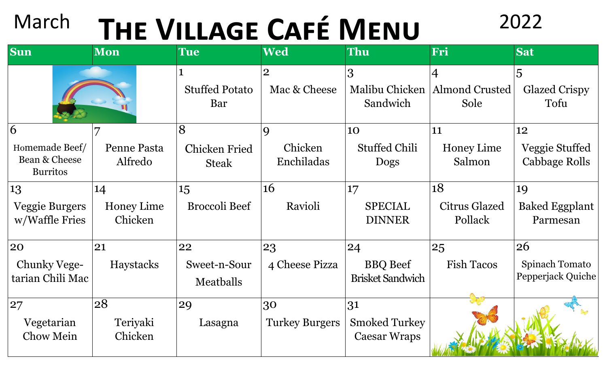## March **THE VILLAGE CAFÉ MENU** 2022

| <b>Sun</b>                                              | <b>Mon</b>                         | <b>Tue</b>                                | <b>Wed</b>                           | Thu                                               | Fri                                             | <b>Sat</b>                                       |
|---------------------------------------------------------|------------------------------------|-------------------------------------------|--------------------------------------|---------------------------------------------------|-------------------------------------------------|--------------------------------------------------|
|                                                         |                                    | <b>Stuffed Potato</b><br>Bar              | $\overline{2}$<br>Mac & Cheese       | 3<br>Malibu Chicken<br>Sandwich                   | $\overline{4}$<br><b>Almond Crusted</b><br>Sole | 5<br><b>Glazed Crispy</b><br>Tofu                |
| 6<br>Homemade Beef/<br>Bean & Cheese<br><b>Burritos</b> | Penne Pasta<br>Alfredo             | 8<br><b>Chicken Fried</b><br><b>Steak</b> | $\mathbf Q$<br>Chicken<br>Enchiladas | <b>10</b><br><b>Stuffed Chili</b><br><b>Dogs</b>  | 11<br><b>Honey Lime</b><br>Salmon               | 12<br>Veggie Stuffed<br>Cabbage Rolls            |
| 13<br><b>Veggie Burgers</b><br>w/Waffle Fries           | 14<br><b>Honey Lime</b><br>Chicken | 15<br><b>Broccoli Beef</b>                | 16<br>Ravioli                        | 17<br><b>SPECIAL</b><br><b>DINNER</b>             | 18<br><b>Citrus Glazed</b><br>Pollack           | 19<br><b>Baked Eggplant</b><br>Parmesan          |
| 20<br>Chunky Vege-<br>tarian Chili Mac                  | 21<br>Haystacks                    | 22<br>Sweet-n-Sour<br>Meatballs           | 23<br>4 Cheese Pizza                 | 24<br><b>BBQ</b> Beef<br><b>Brisket Sandwich</b>  | 25<br><b>Fish Tacos</b>                         | 26<br><b>Spinach Tomato</b><br>Pepperjack Quiche |
| 27<br>Vegetarian<br><b>Chow Mein</b>                    | 28<br>Teriyaki<br>Chicken          | 29<br>Lasagna                             | 30<br><b>Turkey Burgers</b>          | 31<br><b>Smoked Turkey</b><br><b>Caesar Wraps</b> |                                                 |                                                  |